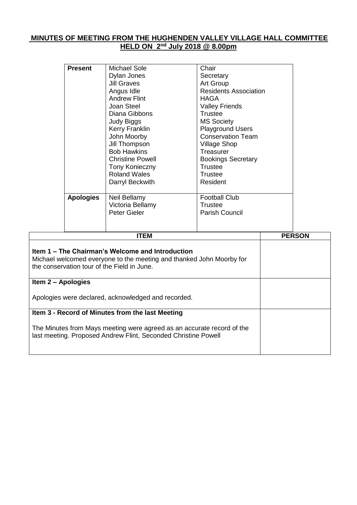## **MINUTES OF MEETING FROM THE HUGHENDEN VALLEY VILLAGE HALL COMMITTEE HELD ON 2 nd July 2018 @ 8.00pm**

|                                                                                                                                                                         | <b>Present</b><br><b>Apologies</b> | <b>Michael Sole</b><br>Dylan Jones<br><b>Jill Graves</b><br>Angus Idle<br><b>Andrew Flint</b><br>Joan Steel<br>Diana Gibbons<br><b>Judy Biggs</b><br>Kerry Franklin<br>John Moorby<br>Jill Thompson<br><b>Bob Hawkins</b><br><b>Christine Powell</b><br>Tony Konieczny<br><b>Roland Wales</b><br>Darryl Beckwith<br>Neil Bellamy<br>Victoria Bellamy<br>Peter Gieler | Chair<br>Secretary<br>Art Group<br><b>Residents Association</b><br><b>HAGA</b><br><b>Valley Friends</b><br><b>Trustee</b><br><b>MS Society</b><br><b>Playground Users</b><br><b>Conservation Team</b><br><b>Village Shop</b><br>Treasurer<br><b>Bookings Secretary</b><br><b>Trustee</b><br><b>Trustee</b><br>Resident<br><b>Football Club</b><br><b>Trustee</b><br><b>Parish Council</b> |  |               |
|-------------------------------------------------------------------------------------------------------------------------------------------------------------------------|------------------------------------|----------------------------------------------------------------------------------------------------------------------------------------------------------------------------------------------------------------------------------------------------------------------------------------------------------------------------------------------------------------------|-------------------------------------------------------------------------------------------------------------------------------------------------------------------------------------------------------------------------------------------------------------------------------------------------------------------------------------------------------------------------------------------|--|---------------|
| <b>ITEM</b>                                                                                                                                                             |                                    |                                                                                                                                                                                                                                                                                                                                                                      |                                                                                                                                                                                                                                                                                                                                                                                           |  | <b>PERSON</b> |
| Item 1 – The Chairman's Welcome and Introduction<br>Michael welcomed everyone to the meeting and thanked John Moorby for<br>the conservation tour of the Field in June. |                                    |                                                                                                                                                                                                                                                                                                                                                                      |                                                                                                                                                                                                                                                                                                                                                                                           |  |               |
| Item 2 - Apologies                                                                                                                                                      |                                    |                                                                                                                                                                                                                                                                                                                                                                      |                                                                                                                                                                                                                                                                                                                                                                                           |  |               |
| Apologies were declared, acknowledged and recorded.                                                                                                                     |                                    |                                                                                                                                                                                                                                                                                                                                                                      |                                                                                                                                                                                                                                                                                                                                                                                           |  |               |
| Item 3 - Record of Minutes from the last Meeting                                                                                                                        |                                    |                                                                                                                                                                                                                                                                                                                                                                      |                                                                                                                                                                                                                                                                                                                                                                                           |  |               |
| The Minutes from Mays meeting were agreed as an accurate record of the<br>last meeting. Proposed Andrew Flint, Seconded Christine Powell                                |                                    |                                                                                                                                                                                                                                                                                                                                                                      |                                                                                                                                                                                                                                                                                                                                                                                           |  |               |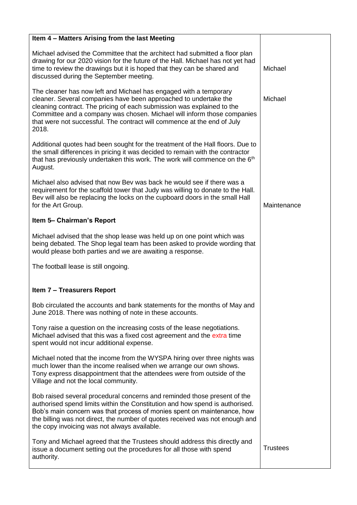| Item 4 - Matters Arising from the last Meeting                                                                                                                                                                                                                                                                                                                                 |                 |
|--------------------------------------------------------------------------------------------------------------------------------------------------------------------------------------------------------------------------------------------------------------------------------------------------------------------------------------------------------------------------------|-----------------|
| Michael advised the Committee that the architect had submitted a floor plan<br>drawing for our 2020 vision for the future of the Hall. Michael has not yet had<br>time to review the drawings but it is hoped that they can be shared and<br>discussed during the September meeting.                                                                                           | Michael         |
| The cleaner has now left and Michael has engaged with a temporary<br>cleaner. Several companies have been approached to undertake the<br>cleaning contract. The pricing of each submission was explained to the<br>Committee and a company was chosen. Michael will inform those companies<br>that were not successful. The contract will commence at the end of July<br>2018. | Michael         |
| Additional quotes had been sought for the treatment of the Hall floors. Due to<br>the small differences in pricing it was decided to remain with the contractor<br>that has previously undertaken this work. The work will commence on the 6 <sup>th</sup><br>August.                                                                                                          |                 |
| Michael also advised that now Bey was back he would see if there was a<br>requirement for the scaffold tower that Judy was willing to donate to the Hall.<br>Bev will also be replacing the locks on the cupboard doors in the small Hall<br>for the Art Group.                                                                                                                | Maintenance     |
| Item 5- Chairman's Report                                                                                                                                                                                                                                                                                                                                                      |                 |
| Michael advised that the shop lease was held up on one point which was<br>being debated. The Shop legal team has been asked to provide wording that<br>would please both parties and we are awaiting a response.                                                                                                                                                               |                 |
| The football lease is still ongoing.                                                                                                                                                                                                                                                                                                                                           |                 |
| <b>Item 7 - Treasurers Report</b>                                                                                                                                                                                                                                                                                                                                              |                 |
| Bob circulated the accounts and bank statements for the months of May and<br>June 2018. There was nothing of note in these accounts.                                                                                                                                                                                                                                           |                 |
| Tony raise a question on the increasing costs of the lease negotiations.<br>Michael advised that this was a fixed cost agreement and the extra time<br>spent would not incur additional expense.                                                                                                                                                                               |                 |
| Michael noted that the income from the WYSPA hiring over three nights was<br>much lower than the income realised when we arrange our own shows.<br>Tony express disappointment that the attendees were from outside of the<br>Village and not the local community.                                                                                                             |                 |
| Bob raised several procedural concerns and reminded those present of the<br>authorised spend limits within the Constitution and how spend is authorised.<br>Bob's main concern was that process of monies spent on maintenance, how<br>the billing was not direct, the number of quotes received was not enough and<br>the copy invoicing was not always available.            |                 |
| Tony and Michael agreed that the Trustees should address this directly and<br>issue a document setting out the procedures for all those with spend<br>authority.                                                                                                                                                                                                               | <b>Trustees</b> |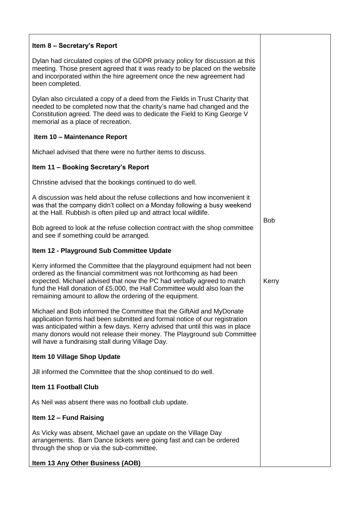| Item 8 - Secretary's Report                                                                                                                                                                                                                                                                                                                                         |            |
|---------------------------------------------------------------------------------------------------------------------------------------------------------------------------------------------------------------------------------------------------------------------------------------------------------------------------------------------------------------------|------------|
| Dylan had circulated copies of the GDPR privacy policy for discussion at this<br>meeting. Those present agreed that it was ready to be placed on the website<br>and incorporated within the hire agreement once the new agreement had<br>been completed.                                                                                                            |            |
| Dylan also circulated a copy of a deed from the Fields in Trust Charity that<br>needed to be completed now that the charity's name had changed and the<br>Constitution agreed. The deed was to dedicate the Field to King George V<br>memorial as a place of recreation.                                                                                            |            |
| Item 10 - Maintenance Report                                                                                                                                                                                                                                                                                                                                        |            |
| Michael advised that there were no further items to discuss.                                                                                                                                                                                                                                                                                                        |            |
| Item 11 - Booking Secretary's Report                                                                                                                                                                                                                                                                                                                                |            |
| Christine advised that the bookings continued to do well.                                                                                                                                                                                                                                                                                                           |            |
| A discussion was held about the refuse collections and how inconvenient it<br>was that the company didn't collect on a Monday following a busy weekend<br>at the Hall. Rubbish is often piled up and attract local wildlife.                                                                                                                                        | <b>Bob</b> |
| Bob agreed to look at the refuse collection contract with the shop committee<br>and see if something could be arranged.                                                                                                                                                                                                                                             |            |
| Item 12 - Playground Sub Committee Update                                                                                                                                                                                                                                                                                                                           |            |
| Kerry informed the Committee that the playground equipment had not been<br>ordered as the financial commitment was not forthcoming as had been<br>expected. Michael advised that now the PC had verbally agreed to match<br>fund the Hall donation of £5,000, the Hall Committee would also loan the<br>remaining amount to allow the ordering of the equipment.    | Kerry      |
| Michael and Bob informed the Committee that the GiftAid and MyDonate<br>application forms had been submitted and formal notice of our registration<br>was anticipated within a few days. Kerry advised that until this was in place<br>many donors would not release their money. The Playground sub Committee<br>will have a fundraising stall during Village Day. |            |
| Item 10 Village Shop Update                                                                                                                                                                                                                                                                                                                                         |            |
| Jill informed the Committee that the shop continued to do well.                                                                                                                                                                                                                                                                                                     |            |
| <b>Item 11 Football Club</b>                                                                                                                                                                                                                                                                                                                                        |            |
| As Neil was absent there was no football club update.                                                                                                                                                                                                                                                                                                               |            |
| Item 12 - Fund Raising                                                                                                                                                                                                                                                                                                                                              |            |
| As Vicky was absent, Michael gave an update on the Village Day<br>arrangements. Barn Dance tickets were going fast and can be ordered<br>through the shop or via the sub-committee.                                                                                                                                                                                 |            |
| Item 13 Any Other Business (AOB)                                                                                                                                                                                                                                                                                                                                    |            |